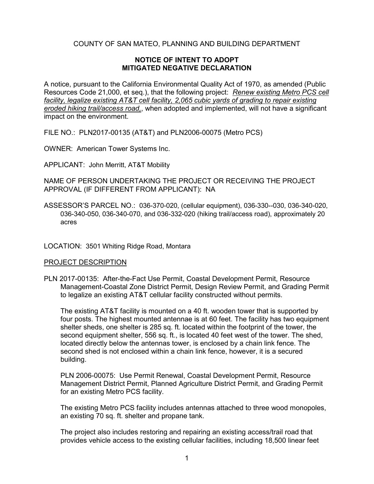# COUNTY OF SAN MATEO, PLANNING AND BUILDING DEPARTMENT

### **NOTICE OF INTENT TO ADOPT MITIGATED NEGATIVE DECLARATION**

A notice, pursuant to the California Environmental Quality Act of 1970, as amended (Public Resources Code 21,000, et seq.), that the following project: *Renew existing Metro PCS cell facility, legalize existing AT&T cell facility, 2,065 cubic yards of grading to repair existing eroded hiking trail/access road,*, when adopted and implemented, will not have a significant impact on the environment.

FILE NO.: PLN2017-00135 (AT&T) and PLN2006-00075 (Metro PCS)

OWNER: American Tower Systems Inc.

APPLICANT: John Merritt, AT&T Mobility

NAME OF PERSON UNDERTAKING THE PROJECT OR RECEIVING THE PROJECT APPROVAL (IF DIFFERENT FROM APPLICANT): NA

ASSESSOR'S PARCEL NO.: 036-370-020, (cellular equipment), 036-330--030, 036-340-020, 036-340-050, 036-340-070, and 036-332-020 (hiking trail/access road), approximately 20 acre[s](https://smcgov-prod-av.accela.com/portlets/parcel/parcelForm.do?value(mode)=view&value%28serviceProviderCode%29=SMCGOV&value%28parcelId%29=036370020&value%28ID1%29=99HIS&value%28ID2%29=00000&value%28ID3%29=01258&module=Planning&spaceName=spaces.pln199900871)

LOCATION: 3501 Whiting Ridge Road, Montara

#### PROJECT DESCRIPTION

PLN 2017-00135: After-the-Fact Use Permit, Coastal Development Permit, Resource Management-Coastal Zone District Permit, Design Review Permit, and Grading Permit to legalize an existing AT&T cellular facility constructed without permits.

The existing AT&T facility is mounted on a 40 ft. wooden tower that is supported by four posts. The highest mounted antennae is at 60 feet. The facility has two equipment shelter sheds, one shelter is 285 sq. ft. located within the footprint of the tower, the second equipment shelter, 556 sq. ft., is located 40 feet west of the tower. The shed, located directly below the antennas tower, is enclosed by a chain link fence. The second shed is not enclosed within a chain link fence, however, it is a secured building.

PLN 2006-00075: Use Permit Renewal, Coastal Development Permit, Resource Management District Permit, Planned Agriculture District Permit, and Grading Permit for an existing Metro PCS facility.

The existing Metro PCS facility includes antennas attached to three wood monopoles, an existing 70 sq. ft. shelter and propane tank.

The project also includes restoring and repairing an existing access/trail road that provides vehicle access to the existing cellular facilities, including 18,500 linear feet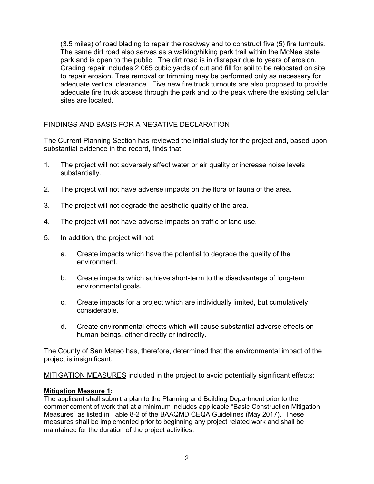(3.5 miles) of road blading to repair the roadway and to construct five (5) fire turnouts. The same dirt road also serves as a walking/hiking park trail within the McNee state park and is open to the public. The dirt road is in disrepair due to years of erosion. Grading repair includes 2,065 cubic yards of cut and fill for soil to be relocated on site to repair erosion. Tree removal or trimming may be performed only as necessary for adequate vertical clearance. Five new fire truck turnouts are also proposed to provide adequate fire truck access through the park and to the peak where the existing cellular sites are located.

# FINDINGS AND BASIS FOR A NEGATIVE DECLARATION

The Current Planning Section has reviewed the initial study for the project and, based upon substantial evidence in the record, finds that:

- 1. The project will not adversely affect water or air quality or increase noise levels substantially.
- 2. The project will not have adverse impacts on the flora or fauna of the area.
- 3. The project will not degrade the aesthetic quality of the area.
- 4. The project will not have adverse impacts on traffic or land use.
- 5. In addition, the project will not:
	- a. Create impacts which have the potential to degrade the quality of the environment.
	- b. Create impacts which achieve short-term to the disadvantage of long-term environmental goals.
	- c. Create impacts for a project which are individually limited, but cumulatively considerable.
	- d. Create environmental effects which will cause substantial adverse effects on human beings, either directly or indirectly.

The County of San Mateo has, therefore, determined that the environmental impact of the project is insignificant.

MITIGATION MEASURES included in the project to avoid potentially significant effects:

## **Mitigation Measure 1:**

The applicant shall submit a plan to the Planning and Building Department prior to the commencement of work that at a minimum includes applicable "Basic Construction Mitigation Measures" as listed in Table 8-2 of the BAAQMD CEQA Guidelines (May 2017). These measures shall be implemented prior to beginning any project related work and shall be maintained for the duration of the project activities: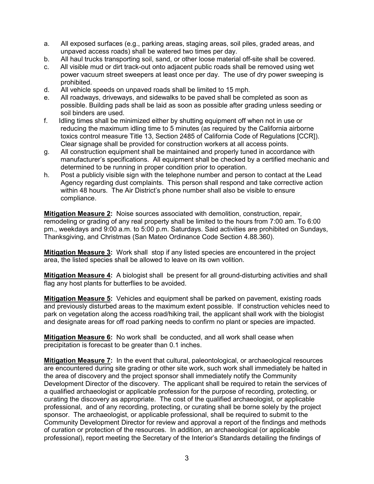- a. All exposed surfaces (e.g., parking areas, staging areas, soil piles, graded areas, and unpaved access roads) shall be watered two times per day.
- b. All haul trucks transporting soil, sand, or other loose material off-site shall be covered.
- c. All visible mud or dirt track-out onto adjacent public roads shall be removed using wet power vacuum street sweepers at least once per day. The use of dry power sweeping is prohibited.
- d. All vehicle speeds on unpaved roads shall be limited to 15 mph.
- e. All roadways, driveways, and sidewalks to be paved shall be completed as soon as possible. Building pads shall be laid as soon as possible after grading unless seeding or soil binders are used.
- f. Idling times shall be minimized either by shutting equipment off when not in use or reducing the maximum idling time to 5 minutes (as required by the California airborne toxics control measure Title 13, Section 2485 of California Code of Regulations [CCR]). Clear signage shall be provided for construction workers at all access points.
- g. All construction equipment shall be maintained and properly tuned in accordance with manufacturer's specifications. All equipment shall be checked by a certified mechanic and determined to be running in proper condition prior to operation.
- h. Post a publicly visible sign with the telephone number and person to contact at the Lead Agency regarding dust complaints. This person shall respond and take corrective action within 48 hours. The Air District's phone number shall also be visible to ensure compliance.

**Mitigation Measure 2:** Noise sources associated with demolition, construction, repair, remodeling or grading of any real property shall be limited to the hours from 7:00 am. To 6:00 pm., weekdays and 9:00 a.m. to 5:00 p.m. Saturdays. Said activities are prohibited on Sundays, Thanksgiving, and Christmas (San Mateo Ordinance Code Section 4.88.360).

**Mitigation Measure 3:** Work shall stop if any listed species are encountered in the project area, the listed species shall be allowed to leave on its own volition.

**Mitigation Measure 4:** A biologist shall be present for all ground-disturbing activities and shall flag any host plants for butterflies to be avoided.

**Mitigation Measure 5:** Vehicles and equipment shall be parked on pavement, existing roads and previously disturbed areas to the maximum extent possible. If construction vehicles need to park on vegetation along the access road/hiking trail, the applicant shall work with the biologist and designate areas for off road parking needs to confirm no plant or species are impacted.

**Mitigation Measure 6:** No work shall be conducted, and all work shall cease when precipitation is forecast to be greater than 0.1 inches.

**Mitigation Measure 7:** In the event that cultural, paleontological, or archaeological resources are encountered during site grading or other site work, such work shall immediately be halted in the area of discovery and the project sponsor shall immediately notify the Community Development Director of the discovery. The applicant shall be required to retain the services of a qualified archaeologist or applicable profession for the purpose of recording, protecting, or curating the discovery as appropriate. The cost of the qualified archaeologist, or applicable professional, and of any recording, protecting, or curating shall be borne solely by the project sponsor. The archaeologist, or applicable professional, shall be required to submit to the Community Development Director for review and approval a report of the findings and methods of curation or protection of the resources. In addition, an archaeological (or applicable professional), report meeting the Secretary of the Interior's Standards detailing the findings of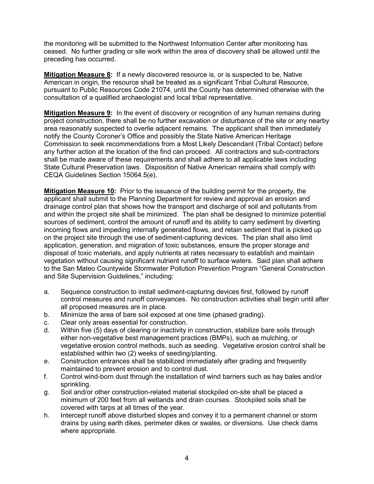the monitoring will be submitted to the Northwest Information Center after monitoring has ceased. No further grading or site work within the area of discovery shall be allowed until the preceding has occurred.

**Mitigation Measure 8:** If a newly discovered resource is, or is suspected to be, Native American in origin, the resource shall be treated as a significant Tribal Cultural Resource, pursuant to Public Resources Code 21074, until the County has determined otherwise with the consultation of a qualified archaeologist and local tribal representative.

**Mitigation Measure 9:** In the event of discovery or recognition of any human remains during project construction, there shall be no further excavation or disturbance of the site or any nearby area reasonably suspected to overlie adjacent remains. The applicant shall then immediately notify the County Coroner's Office and possibly the State Native American Heritage Commission to seek recommendations from a Most Likely Descendant (Tribal Contact) before any further action at the location of the find can proceed. All contractors and sub-contractors shall be made aware of these requirements and shall adhere to all applicable laws including State Cultural Preservation laws. Disposition of Native American remains shall comply with CEQA Guidelines Section 15064.5(e).

**Mitigation Measure 10:** Prior to the issuance of the building permit for the property, the applicant shall submit to the Planning Department for review and approval an erosion and drainage control plan that shows how the transport and discharge of soil and pollutants from and within the project site shall be minimized. The plan shall be designed to minimize potential sources of sediment, control the amount of runoff and its ability to carry sediment by diverting incoming flows and impeding internally generated flows, and retain sediment that is picked up on the project site through the use of sediment-capturing devices. The plan shall also limit application, generation, and migration of toxic substances, ensure the proper storage and disposal of toxic materials, and apply nutrients at rates necessary to establish and maintain vegetation without causing significant nutrient runoff to surface waters. Said plan shall adhere to the San Mateo Countywide Stormwater Pollution Prevention Program "General Construction and Site Supervision Guidelines," including:

- a. Sequence construction to install sediment-capturing devices first, followed by runoff control measures and runoff conveyances. No construction activities shall begin until after all proposed measures are in place.
- b. Minimize the area of bare soil exposed at one time (phased grading).
- c. Clear only areas essential for construction.
- d. Within five (5) days of clearing or inactivity in construction, stabilize bare soils through either non-vegetative best management practices (BMPs), such as mulching, or vegetative erosion control methods, such as seeding. Vegetative erosion control shall be established within two (2) weeks of seeding/planting.
- e. Construction entrances shall be stabilized immediately after grading and frequently maintained to prevent erosion and to control dust.
- f. Control wind-born dust through the installation of wind barriers such as hay bales and/or sprinkling.
- g. Soil and/or other construction-related material stockpiled on-site shall be placed a minimum of 200 feet from all wetlands and drain courses. Stockpiled soils shall be covered with tarps at all times of the year.
- h. Intercept runoff above disturbed slopes and convey it to a permanent channel or storm drains by using earth dikes, perimeter dikes or swales, or diversions. Use check dams where appropriate.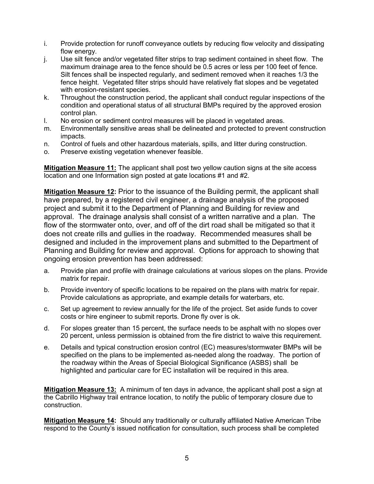- i. Provide protection for runoff conveyance outlets by reducing flow velocity and dissipating flow energy.
- j. Use silt fence and/or vegetated filter strips to trap sediment contained in sheet flow. The maximum drainage area to the fence should be 0.5 acres or less per 100 feet of fence. Silt fences shall be inspected regularly, and sediment removed when it reaches 1/3 the fence height. Vegetated filter strips should have relatively flat slopes and be vegetated with erosion-resistant species.
- k. Throughout the construction period, the applicant shall conduct regular inspections of the condition and operational status of all structural BMPs required by the approved erosion control plan.
- l. No erosion or sediment control measures will be placed in vegetated areas.
- m. Environmentally sensitive areas shall be delineated and protected to prevent construction impacts.
- n. Control of fuels and other hazardous materials, spills, and litter during construction.
- o. Preserve existing vegetation whenever feasible.

**Mitigation Measure 11:** The applicant shall post two yellow caution signs at the site access location and one Information sign posted at gate locations #1 and #2.

**Mitigation Measure 12:** Prior to the issuance of the Building permit, the applicant shall have prepared, by a registered civil engineer, a drainage analysis of the proposed project and submit it to the Department of Planning and Building for review and approval. The drainage analysis shall consist of a written narrative and a plan. The flow of the stormwater onto, over, and off of the dirt road shall be mitigated so that it does not create rills and gullies in the roadway. Recommended measures shall be designed and included in the improvement plans and submitted to the Department of Planning and Building for review and approval. Options for approach to showing that ongoing erosion prevention has been addressed:

- a. Provide plan and profile with drainage calculations at various slopes on the plans. Provide matrix for repair.
- b. Provide inventory of specific locations to be repaired on the plans with matrix for repair. Provide calculations as appropriate, and example details for waterbars, etc.
- c. Set up agreement to review annually for the life of the project. Set aside funds to cover costs or hire engineer to submit reports. Drone fly over is ok.
- d. For slopes greater than 15 percent, the surface needs to be asphalt with no slopes over 20 percent, unless permission is obtained from the fire district to waive this requirement.
- e. Details and typical construction erosion control (EC) measures/stormwater BMPs will be specified on the plans to be implemented as-needed along the roadway. The portion of the roadway within the Areas of Special Biological Significance (ASBS) shall be highlighted and particular care for EC installation will be required in this area.

**Mitigation Measure 13:** A minimum of ten days in advance, the applicant shall post a sign at the Cabrillo Highway trail entrance location, to notify the public of temporary closure due to construction.

**Mitigation Measure 14:** Should any traditionally or culturally affiliated Native American Tribe respond to the County's issued notification for consultation, such process shall be completed